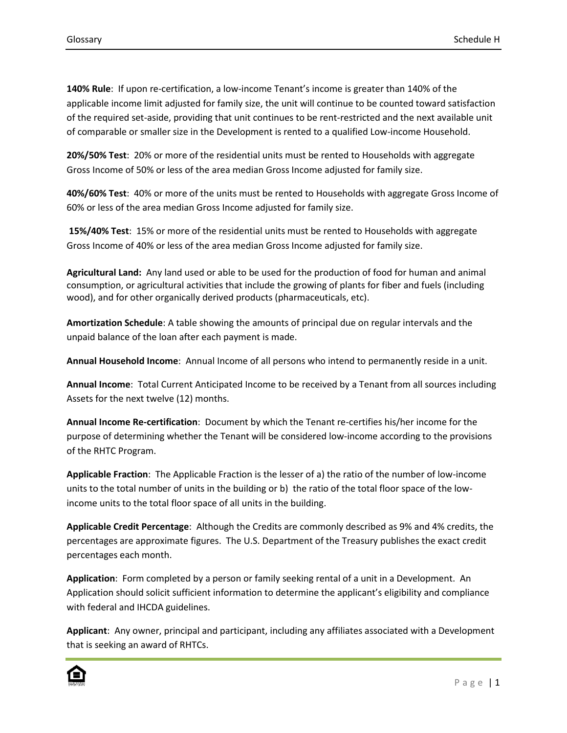**140% Rule**: If upon re-certification, a low-income Tenant's income is greater than 140% of the applicable income limit adjusted for family size, the unit will continue to be counted toward satisfaction of the required set-aside, providing that unit continues to be rent-restricted and the next available unit of comparable or smaller size in the Development is rented to a qualified Low-income Household.

**20%/50% Test**: 20% or more of the residential units must be rented to Households with aggregate Gross Income of 50% or less of the area median Gross Income adjusted for family size.

**40%/60% Test**: 40% or more of the units must be rented to Households with aggregate Gross Income of 60% or less of the area median Gross Income adjusted for family size.

**15%/40% Test**: 15% or more of the residential units must be rented to Households with aggregate Gross Income of 40% or less of the area median Gross Income adjusted for family size.

**Agricultural Land:** Any land used or able to be used for the production of food for human and animal consumption, or agricultural activities that include the growing of plants for fiber and fuels (including wood), and for other organically derived products (pharmaceuticals, etc).

**Amortization Schedule**: A table showing the amounts of principal due on regular intervals and the unpaid balance of the loan after each payment is made.

**Annual Household Income**: Annual Income of all persons who intend to permanently reside in a unit.

**Annual Income**: Total Current Anticipated Income to be received by a Tenant from all sources including Assets for the next twelve (12) months.

**Annual Income Re-certification**: Document by which the Tenant re-certifies his/her income for the purpose of determining whether the Tenant will be considered low-income according to the provisions of the RHTC Program.

**Applicable Fraction**: The Applicable Fraction is the lesser of a) the ratio of the number of low-income units to the total number of units in the building or b) the ratio of the total floor space of the lowincome units to the total floor space of all units in the building.

**Applicable Credit Percentage**: Although the Credits are commonly described as 9% and 4% credits, the percentages are approximate figures. The U.S. Department of the Treasury publishes the exact credit percentages each month.

**Application**: Form completed by a person or family seeking rental of a unit in a Development. An Application should solicit sufficient information to determine the applicant's eligibility and compliance with federal and IHCDA guidelines.

**Applicant**: Any owner, principal and participant, including any affiliates associated with a Development that is seeking an award of RHTCs.

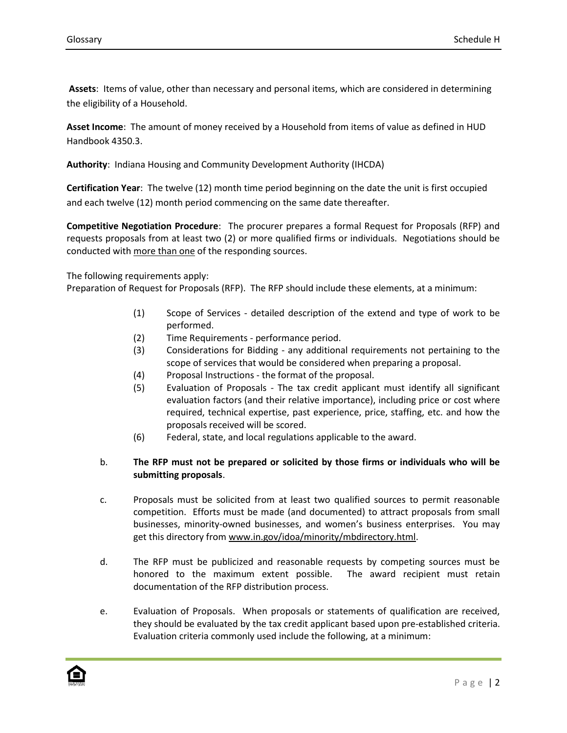**Assets**: Items of value, other than necessary and personal items, which are considered in determining the eligibility of a Household.

**Asset Income**: The amount of money received by a Household from items of value as defined in HUD Handbook 4350.3.

**Authority**: Indiana Housing and Community Development Authority (IHCDA)

**Certification Year**: The twelve (12) month time period beginning on the date the unit is first occupied and each twelve (12) month period commencing on the same date thereafter.

**Competitive Negotiation Procedure**: The procurer prepares a formal Request for Proposals (RFP) and requests proposals from at least two (2) or more qualified firms or individuals. Negotiations should be conducted with more than one of the responding sources.

The following requirements apply:

Preparation of Request for Proposals (RFP). The RFP should include these elements, at a minimum:

- (1) Scope of Services detailed description of the extend and type of work to be performed.
- (2) Time Requirements performance period.
- (3) Considerations for Bidding any additional requirements not pertaining to the scope of services that would be considered when preparing a proposal.
- (4) Proposal Instructions the format of the proposal.
- (5) Evaluation of Proposals The tax credit applicant must identify all significant evaluation factors (and their relative importance), including price or cost where required, technical expertise, past experience, price, staffing, etc. and how the proposals received will be scored.
- (6) Federal, state, and local regulations applicable to the award.

## b. **The RFP must not be prepared or solicited by those firms or individuals who will be submitting proposals**.

- c. Proposals must be solicited from at least two qualified sources to permit reasonable competition. Efforts must be made (and documented) to attract proposals from small businesses, minority-owned businesses, and women's business enterprises. You may get this directory from www.in.gov/idoa/minority/mbdirectory.html.
- d. The RFP must be publicized and reasonable requests by competing sources must be honored to the maximum extent possible. The award recipient must retain documentation of the RFP distribution process.
- e. Evaluation of Proposals. When proposals or statements of qualification are received, they should be evaluated by the tax credit applicant based upon pre-established criteria. Evaluation criteria commonly used include the following, at a minimum:

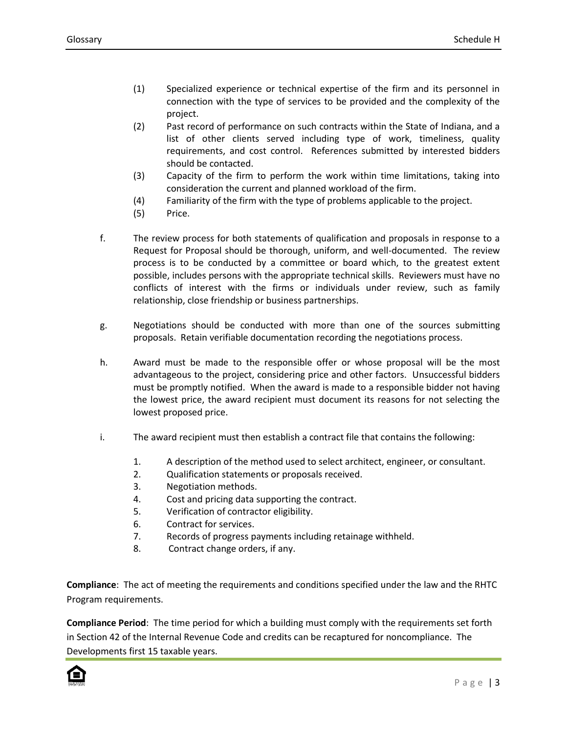- (1) Specialized experience or technical expertise of the firm and its personnel in connection with the type of services to be provided and the complexity of the project.
- (2) Past record of performance on such contracts within the State of Indiana, and a list of other clients served including type of work, timeliness, quality requirements, and cost control. References submitted by interested bidders should be contacted.
- (3) Capacity of the firm to perform the work within time limitations, taking into consideration the current and planned workload of the firm.
- (4) Familiarity of the firm with the type of problems applicable to the project.
- (5) Price.
- f. The review process for both statements of qualification and proposals in response to a Request for Proposal should be thorough, uniform, and well-documented. The review process is to be conducted by a committee or board which, to the greatest extent possible, includes persons with the appropriate technical skills. Reviewers must have no conflicts of interest with the firms or individuals under review, such as family relationship, close friendship or business partnerships.
- g. Negotiations should be conducted with more than one of the sources submitting proposals. Retain verifiable documentation recording the negotiations process.
- h. Award must be made to the responsible offer or whose proposal will be the most advantageous to the project, considering price and other factors. Unsuccessful bidders must be promptly notified. When the award is made to a responsible bidder not having the lowest price, the award recipient must document its reasons for not selecting the lowest proposed price.
- i. The award recipient must then establish a contract file that contains the following:
	- 1. A description of the method used to select architect, engineer, or consultant.
	- 2. Qualification statements or proposals received.
	- 3. Negotiation methods.
	- 4. Cost and pricing data supporting the contract.
	- 5. Verification of contractor eligibility.
	- 6. Contract for services.
	- 7. Records of progress payments including retainage withheld.
	- 8. Contract change orders, if any.

**Compliance**: The act of meeting the requirements and conditions specified under the law and the RHTC Program requirements.

**Compliance Period**: The time period for which a building must comply with the requirements set forth in Section 42 of the Internal Revenue Code and credits can be recaptured for noncompliance. The Developments first 15 taxable years.

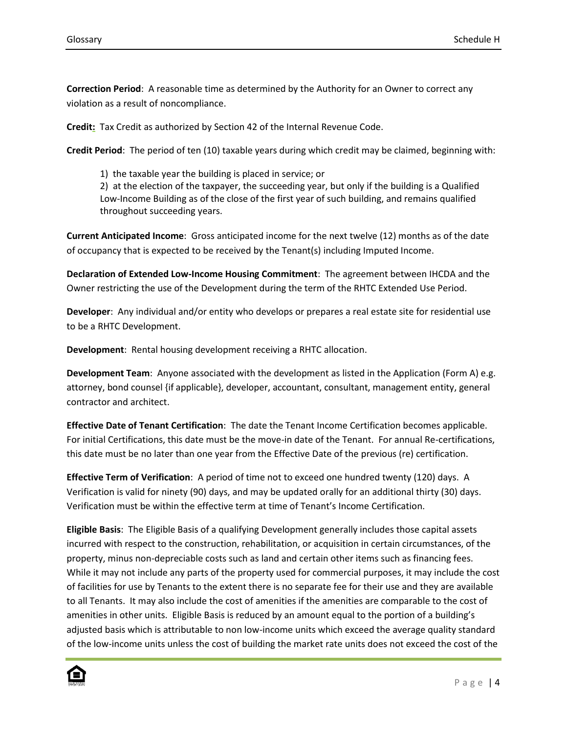**Correction Period**: A reasonable time as determined by the Authority for an Owner to correct any violation as a result of noncompliance.

**Credit:** Tax Credit as authorized by Section 42 of the Internal Revenue Code.

**Credit Period**: The period of ten (10) taxable years during which credit may be claimed, beginning with:

1) the taxable year the building is placed in service; or

2) at the election of the taxpayer, the succeeding year, but only if the building is a Qualified Low-Income Building as of the close of the first year of such building, and remains qualified throughout succeeding years.

**Current Anticipated Income**: Gross anticipated income for the next twelve (12) months as of the date of occupancy that is expected to be received by the Tenant(s) including Imputed Income.

**Declaration of Extended Low-Income Housing Commitment**: The agreement between IHCDA and the Owner restricting the use of the Development during the term of the RHTC Extended Use Period.

**Developer**: Any individual and/or entity who develops or prepares a real estate site for residential use to be a RHTC Development.

**Development**: Rental housing development receiving a RHTC allocation.

**Development Team**: Anyone associated with the development as listed in the Application (Form A) e.g. attorney, bond counsel {if applicable}, developer, accountant, consultant, management entity, general contractor and architect.

**Effective Date of Tenant Certification**: The date the Tenant Income Certification becomes applicable. For initial Certifications, this date must be the move-in date of the Tenant. For annual Re-certifications, this date must be no later than one year from the Effective Date of the previous (re) certification.

**Effective Term of Verification**: A period of time not to exceed one hundred twenty (120) days. A Verification is valid for ninety (90) days, and may be updated orally for an additional thirty (30) days. Verification must be within the effective term at time of Tenant's Income Certification.

**Eligible Basis**: The Eligible Basis of a qualifying Development generally includes those capital assets incurred with respect to the construction, rehabilitation, or acquisition in certain circumstances, of the property, minus non-depreciable costs such as land and certain other items such as financing fees. While it may not include any parts of the property used for commercial purposes, it may include the cost of facilities for use by Tenants to the extent there is no separate fee for their use and they are available to all Tenants. It may also include the cost of amenities if the amenities are comparable to the cost of amenities in other units. Eligible Basis is reduced by an amount equal to the portion of a building's adjusted basis which is attributable to non low-income units which exceed the average quality standard of the low-income units unless the cost of building the market rate units does not exceed the cost of the

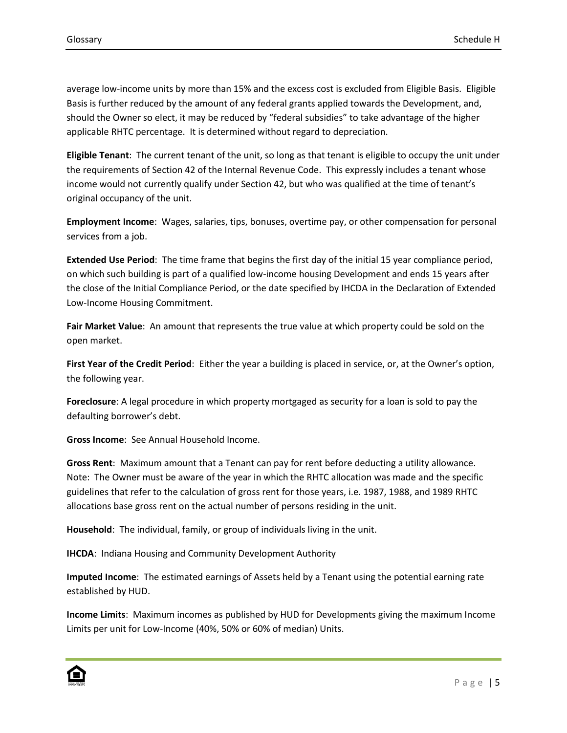average low-income units by more than 15% and the excess cost is excluded from Eligible Basis. Eligible Basis is further reduced by the amount of any federal grants applied towards the Development, and, should the Owner so elect, it may be reduced by "federal subsidies" to take advantage of the higher applicable RHTC percentage. It is determined without regard to depreciation.

**Eligible Tenant**: The current tenant of the unit, so long as that tenant is eligible to occupy the unit under the requirements of Section 42 of the Internal Revenue Code. This expressly includes a tenant whose income would not currently qualify under Section 42, but who was qualified at the time of tenant's original occupancy of the unit.

**Employment Income**: Wages, salaries, tips, bonuses, overtime pay, or other compensation for personal services from a job.

**Extended Use Period**: The time frame that begins the first day of the initial 15 year compliance period, on which such building is part of a qualified low-income housing Development and ends 15 years after the close of the Initial Compliance Period, or the date specified by IHCDA in the Declaration of Extended Low-Income Housing Commitment.

**Fair Market Value**: An amount that represents the true value at which property could be sold on the open market.

**First Year of the Credit Period**: Either the year a building is placed in service, or, at the Owner's option, the following year.

**Foreclosure**: A legal procedure in which property mortgaged as security for a loan is sold to pay the defaulting borrower's debt.

**Gross Income**: See Annual Household Income.

**Gross Rent**: Maximum amount that a Tenant can pay for rent before deducting a utility allowance. Note: The Owner must be aware of the year in which the RHTC allocation was made and the specific guidelines that refer to the calculation of gross rent for those years, i.e. 1987, 1988, and 1989 RHTC allocations base gross rent on the actual number of persons residing in the unit.

**Household**: The individual, family, or group of individuals living in the unit.

**IHCDA**: Indiana Housing and Community Development Authority

**Imputed Income**: The estimated earnings of Assets held by a Tenant using the potential earning rate established by HUD.

**Income Limits**: Maximum incomes as published by HUD for Developments giving the maximum Income Limits per unit for Low-Income (40%, 50% or 60% of median) Units.

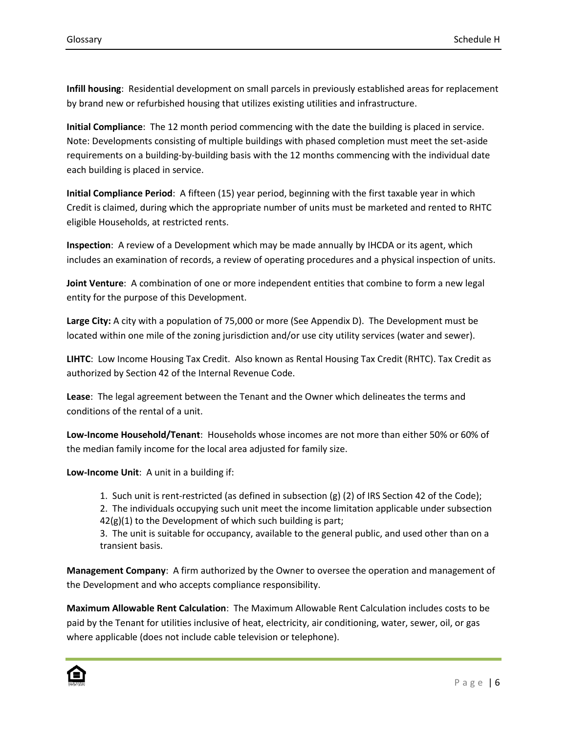**Infill housing**: Residential development on small parcels in previously established areas for replacement by brand new or refurbished housing that utilizes existing utilities and infrastructure.

**Initial Compliance**: The 12 month period commencing with the date the building is placed in service. Note: Developments consisting of multiple buildings with phased completion must meet the set-aside requirements on a building-by-building basis with the 12 months commencing with the individual date each building is placed in service.

**Initial Compliance Period**: A fifteen (15) year period, beginning with the first taxable year in which Credit is claimed, during which the appropriate number of units must be marketed and rented to RHTC eligible Households, at restricted rents.

**Inspection**: A review of a Development which may be made annually by IHCDA or its agent, which includes an examination of records, a review of operating procedures and a physical inspection of units.

**Joint Venture**: A combination of one or more independent entities that combine to form a new legal entity for the purpose of this Development.

**Large City:** A city with a population of 75,000 or more (See Appendix D). The Development must be located within one mile of the zoning jurisdiction and/or use city utility services (water and sewer).

**LIHTC**: Low Income Housing Tax Credit. Also known as Rental Housing Tax Credit (RHTC). Tax Credit as authorized by Section 42 of the Internal Revenue Code.

**Lease**: The legal agreement between the Tenant and the Owner which delineates the terms and conditions of the rental of a unit.

**Low-Income Household/Tenant**: Households whose incomes are not more than either 50% or 60% of the median family income for the local area adjusted for family size.

**Low-Income Unit**: A unit in a building if:

1. Such unit is rent-restricted (as defined in subsection (g) (2) of IRS Section 42 of the Code);

2. The individuals occupying such unit meet the income limitation applicable under subsection  $42(g)(1)$  to the Development of which such building is part;

3. The unit is suitable for occupancy, available to the general public, and used other than on a transient basis.

**Management Company**: A firm authorized by the Owner to oversee the operation and management of the Development and who accepts compliance responsibility.

**Maximum Allowable Rent Calculation**: The Maximum Allowable Rent Calculation includes costs to be paid by the Tenant for utilities inclusive of heat, electricity, air conditioning, water, sewer, oil, or gas where applicable (does not include cable television or telephone).

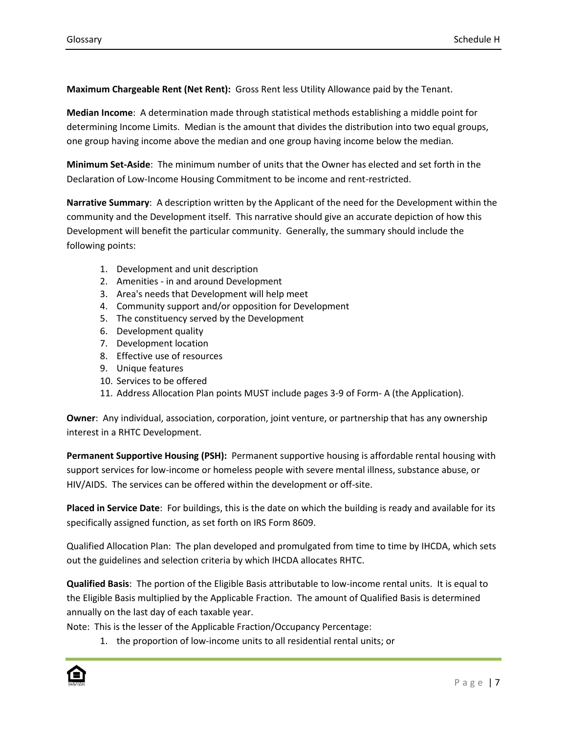**Maximum Chargeable Rent (Net Rent):** Gross Rent less Utility Allowance paid by the Tenant.

**Median Income**: A determination made through statistical methods establishing a middle point for determining Income Limits. Median is the amount that divides the distribution into two equal groups, one group having income above the median and one group having income below the median.

**Minimum Set-Aside**: The minimum number of units that the Owner has elected and set forth in the Declaration of Low-Income Housing Commitment to be income and rent-restricted.

**Narrative Summary**: A description written by the Applicant of the need for the Development within the community and the Development itself. This narrative should give an accurate depiction of how this Development will benefit the particular community. Generally, the summary should include the following points:

- 1. Development and unit description
- 2. Amenities in and around Development
- 3. Area's needs that Development will help meet
- 4. Community support and/or opposition for Development
- 5. The constituency served by the Development
- 6. Development quality
- 7. Development location
- 8. Effective use of resources
- 9. Unique features
- 10. Services to be offered
- 11. Address Allocation Plan points MUST include pages 3-9 of Form- A (the Application).

**Owner**: Any individual, association, corporation, joint venture, or partnership that has any ownership interest in a RHTC Development.

**Permanent Supportive Housing (PSH):** Permanent supportive housing is affordable rental housing with support services for low-income or homeless people with severe mental illness, substance abuse, or HIV/AIDS. The services can be offered within the development or off-site.

**Placed in Service Date**: For buildings, this is the date on which the building is ready and available for its specifically assigned function, as set forth on IRS Form 8609.

Qualified Allocation Plan: The plan developed and promulgated from time to time by IHCDA, which sets out the guidelines and selection criteria by which IHCDA allocates RHTC.

**Qualified Basis**: The portion of the Eligible Basis attributable to low-income rental units. It is equal to the Eligible Basis multiplied by the Applicable Fraction. The amount of Qualified Basis is determined annually on the last day of each taxable year.

Note: This is the lesser of the Applicable Fraction/Occupancy Percentage:

1. the proportion of low-income units to all residential rental units; or

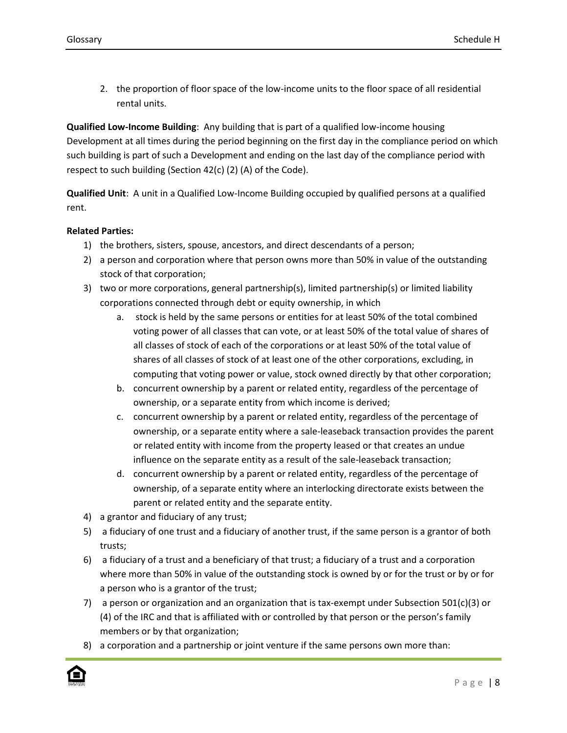2. the proportion of floor space of the low-income units to the floor space of all residential rental units.

**Qualified Low-Income Building**: Any building that is part of a qualified low-income housing Development at all times during the period beginning on the first day in the compliance period on which such building is part of such a Development and ending on the last day of the compliance period with respect to such building (Section 42(c) (2) (A) of the Code).

**Qualified Unit**: A unit in a Qualified Low-Income Building occupied by qualified persons at a qualified rent.

## **Related Parties:**

- 1) the brothers, sisters, spouse, ancestors, and direct descendants of a person;
- 2) a person and corporation where that person owns more than 50% in value of the outstanding stock of that corporation;
- 3) two or more corporations, general partnership(s), limited partnership(s) or limited liability corporations connected through debt or equity ownership, in which
	- a. stock is held by the same persons or entities for at least 50% of the total combined voting power of all classes that can vote, or at least 50% of the total value of shares of all classes of stock of each of the corporations or at least 50% of the total value of shares of all classes of stock of at least one of the other corporations, excluding, in computing that voting power or value, stock owned directly by that other corporation;
	- b. concurrent ownership by a parent or related entity, regardless of the percentage of ownership, or a separate entity from which income is derived;
	- c. concurrent ownership by a parent or related entity, regardless of the percentage of ownership, or a separate entity where a sale-leaseback transaction provides the parent or related entity with income from the property leased or that creates an undue influence on the separate entity as a result of the sale-leaseback transaction;
	- d. concurrent ownership by a parent or related entity, regardless of the percentage of ownership, of a separate entity where an interlocking directorate exists between the parent or related entity and the separate entity.
- 4) a grantor and fiduciary of any trust;
- 5) a fiduciary of one trust and a fiduciary of another trust, if the same person is a grantor of both trusts;
- 6) a fiduciary of a trust and a beneficiary of that trust; a fiduciary of a trust and a corporation where more than 50% in value of the outstanding stock is owned by or for the trust or by or for a person who is a grantor of the trust;
- 7) a person or organization and an organization that is tax-exempt under Subsection 501(c)(3) or (4) of the IRC and that is affiliated with or controlled by that person or the person's family members or by that organization;
- 8) a corporation and a partnership or joint venture if the same persons own more than:

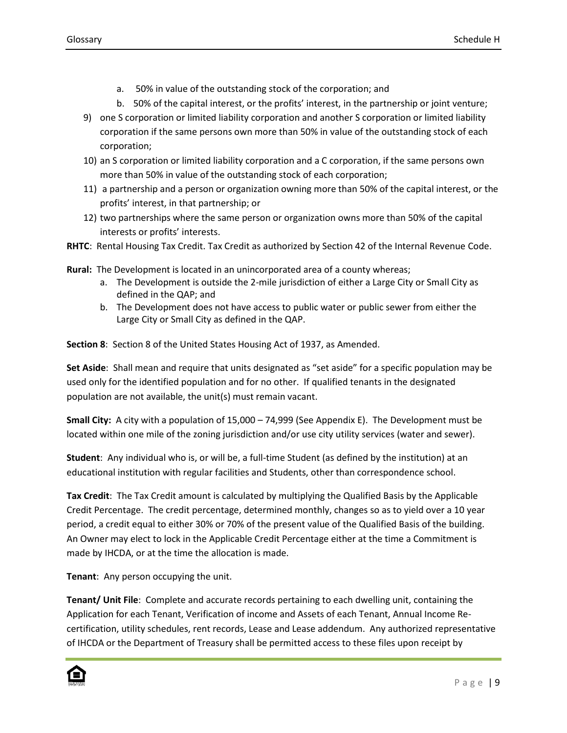- a. 50% in value of the outstanding stock of the corporation; and
- b. 50% of the capital interest, or the profits' interest, in the partnership or joint venture;
- 9) one S corporation or limited liability corporation and another S corporation or limited liability corporation if the same persons own more than 50% in value of the outstanding stock of each corporation;
- 10) an S corporation or limited liability corporation and a C corporation, if the same persons own more than 50% in value of the outstanding stock of each corporation;
- 11) a partnership and a person or organization owning more than 50% of the capital interest, or the profits' interest, in that partnership; or
- 12) two partnerships where the same person or organization owns more than 50% of the capital interests or profits' interests.
- **RHTC**: Rental Housing Tax Credit. Tax Credit as authorized by Section 42 of the Internal Revenue Code.

**Rural:** The Development is located in an unincorporated area of a county whereas;

- a. The Development is outside the 2-mile jurisdiction of either a Large City or Small City as defined in the QAP; and
- b. The Development does not have access to public water or public sewer from either the Large City or Small City as defined in the QAP.

**Section 8**: Section 8 of the United States Housing Act of 1937, as Amended.

**Set Aside**: Shall mean and require that units designated as "set aside" for a specific population may be used only for the identified population and for no other. If qualified tenants in the designated population are not available, the unit(s) must remain vacant.

**Small City:** A city with a population of 15,000 – 74,999 (See Appendix E). The Development must be located within one mile of the zoning jurisdiction and/or use city utility services (water and sewer).

**Student**: Any individual who is, or will be, a full-time Student (as defined by the institution) at an educational institution with regular facilities and Students, other than correspondence school.

**Tax Credit**: The Tax Credit amount is calculated by multiplying the Qualified Basis by the Applicable Credit Percentage. The credit percentage, determined monthly, changes so as to yield over a 10 year period, a credit equal to either 30% or 70% of the present value of the Qualified Basis of the building. An Owner may elect to lock in the Applicable Credit Percentage either at the time a Commitment is made by IHCDA, or at the time the allocation is made.

**Tenant**: Any person occupying the unit.

**Tenant/ Unit File**: Complete and accurate records pertaining to each dwelling unit, containing the Application for each Tenant, Verification of income and Assets of each Tenant, Annual Income Recertification, utility schedules, rent records, Lease and Lease addendum. Any authorized representative of IHCDA or the Department of Treasury shall be permitted access to these files upon receipt by